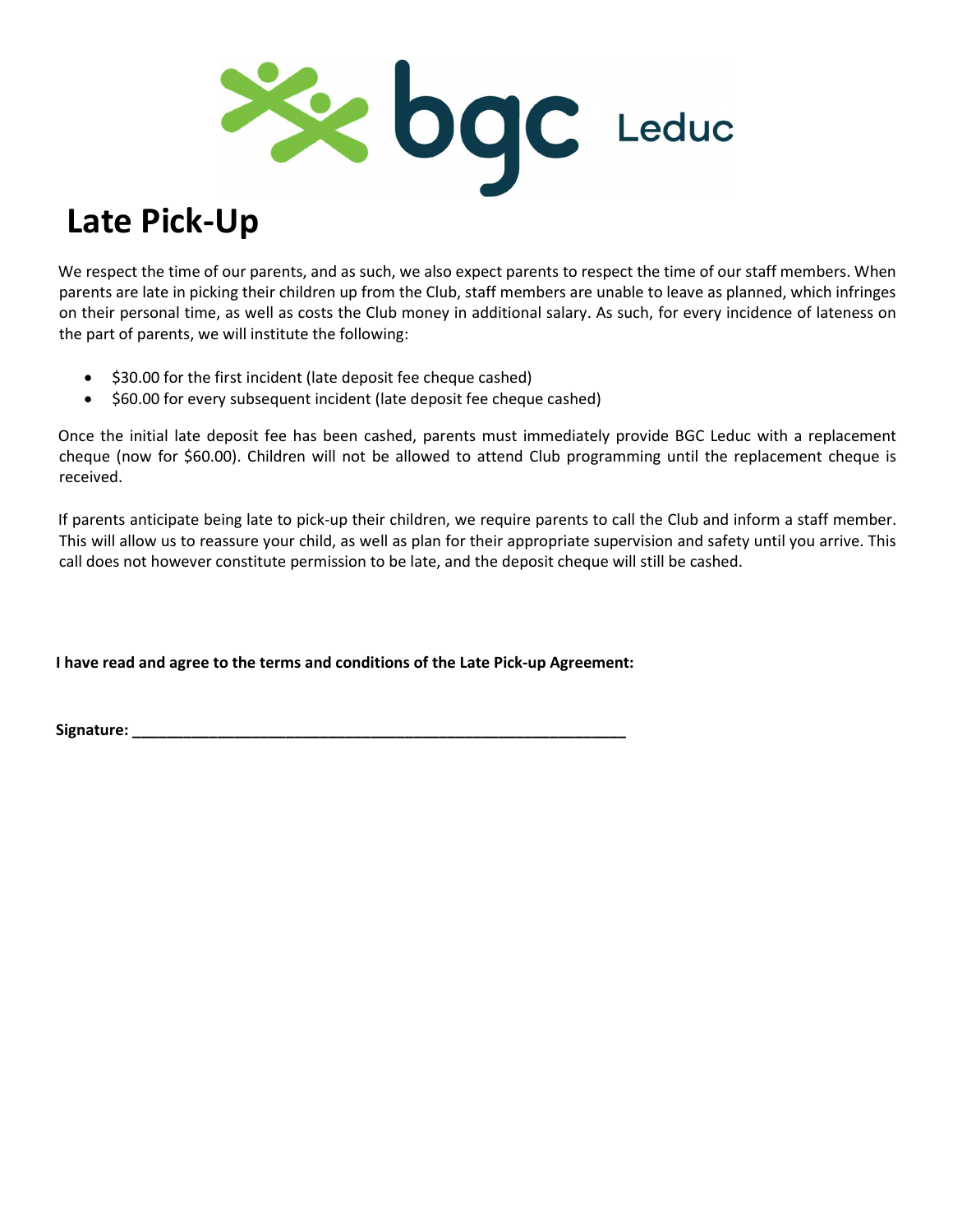

## Late Pick-Up

We respect the time of our parents, and as such, we also expect parents to respect the time of our staff members. When parents are late in picking their children up from the Club, staff members are unable to leave as planned, which infringes on their personal time, as well as costs the Club money in additional salary. As such, for every incidence of lateness on the part of parents, we will institute the following:

- $\bullet$  \$30.00 for the first incident (late deposit fee cheque cashed)
- $\bullet$  \$60.00 for every subsequent incident (late deposit fee cheque cashed)

Once the initial late deposit fee has been cashed, parents must immediately provide BGC Leduc with a replacement cheque (now for \$60.00). Children will not be allowed to attend Club programming until the replacement cheque is received.

If parents anticipate being late to pick-up their children, we require parents to call the Club and inform a staff member. This will allow us to reassure your child, as well as plan for their appropriate supervision and safety until you arrive. This call does not however constitute permission to be late, and the deposit cheque will still be cashed.

I have read and agree to the terms and conditions of the Late Pick-up Agreement:

Signature: